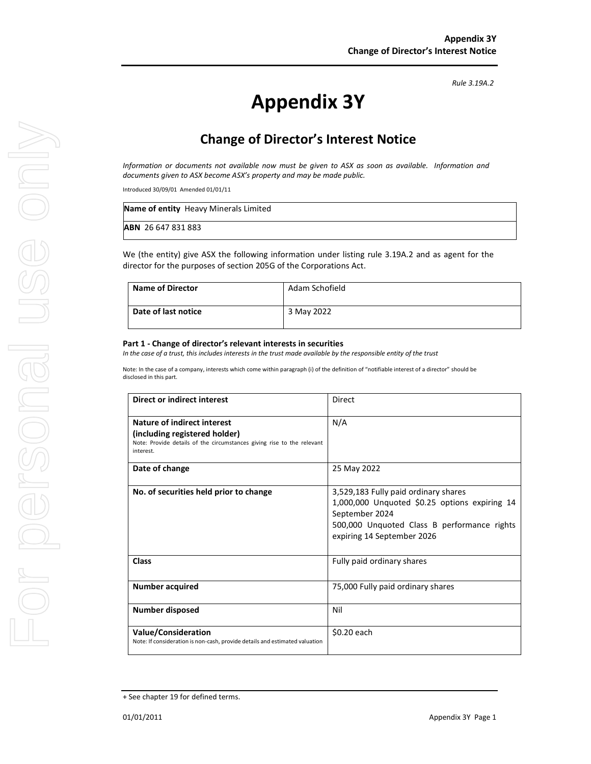*Rule 3.19A.2*

# **Appendix 3Y**

# **Change of Director's Interest Notice**

*Information or documents not available now must be given to ASX as soon as available. Information and documents given to ASX become ASX's property and may be made public.* 

Introduced 30/09/01 Amended 01/01/11

| Name of entity Heavy Minerals Limited |
|---------------------------------------|
| <b>ABN</b> 26 647 831 883             |

We (the entity) give ASX the following information under listing rule 3.19A.2 and as agent for the director for the purposes of section 205G of the Corporations Act.

| Name of Director    | Adam Schofield |
|---------------------|----------------|
| Date of last notice | 3 May 2022     |

#### **Part 1 - Change of director's relevant interests in securities**

*In the case of a trust, this includes interests in the trust made available by the responsible entity of the trust* 

Note: In the case of a company, interests which come within paragraph (i) of the definition of "notifiable interest of a director" should be disclosed in this part.

| <b>Direct or indirect interest</b>                                                                                                                  | Direct                                                                                                                                                                               |  |
|-----------------------------------------------------------------------------------------------------------------------------------------------------|--------------------------------------------------------------------------------------------------------------------------------------------------------------------------------------|--|
| Nature of indirect interest<br>(including registered holder)<br>Note: Provide details of the circumstances giving rise to the relevant<br>interest. | N/A                                                                                                                                                                                  |  |
| Date of change                                                                                                                                      | 25 May 2022                                                                                                                                                                          |  |
| No. of securities held prior to change                                                                                                              | 3,529,183 Fully paid ordinary shares<br>1,000,000 Unquoted \$0.25 options expiring 14<br>September 2024<br>500,000 Unquoted Class B performance rights<br>expiring 14 September 2026 |  |
| Class                                                                                                                                               | Fully paid ordinary shares                                                                                                                                                           |  |
| <b>Number acquired</b>                                                                                                                              | 75,000 Fully paid ordinary shares                                                                                                                                                    |  |
| <b>Number disposed</b>                                                                                                                              | Nil                                                                                                                                                                                  |  |
| <b>Value/Consideration</b><br>Note: If consideration is non-cash, provide details and estimated valuation                                           | \$0.20 each                                                                                                                                                                          |  |

<sup>+</sup> See chapter 19 for defined terms.